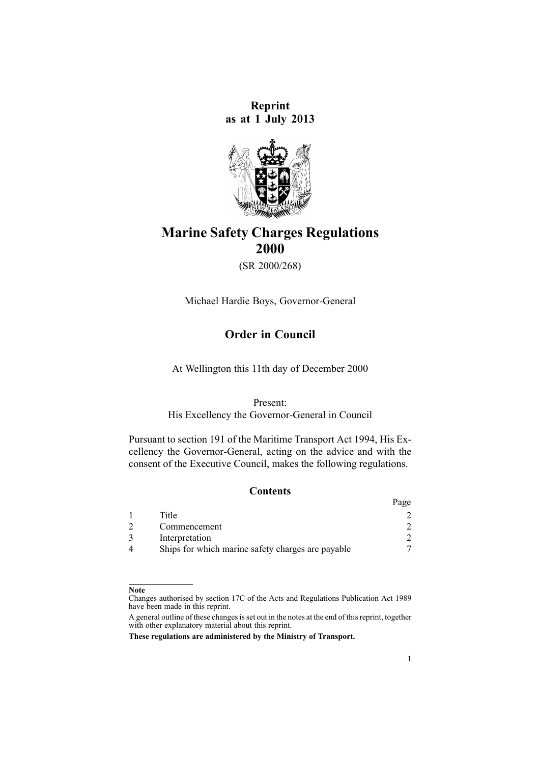**Reprint as at 1 July 2013**



# **Marine Safety Charges Regulations 2000**

(SR 2000/268)

Michael Hardie Boys, Governor-General

# **Order in Council**

At Wellington this 11th day of December 2000

## Present:

His Excellency the Governor-General in Council

Pursuant to [section](http://www.legislation.govt.nz/pdflink.aspx?id=DLM336772) 191 of the Maritime Transport Act 1994, His Excellency the Governor-General, acting on the advice and with the consent of the Executive Council, makes the following regulations.

## **Contents**

|                                                   | Page |
|---------------------------------------------------|------|
| Title                                             |      |
| Commencement                                      |      |
| Interpretation                                    |      |
| Ships for which marine safety charges are payable |      |

#### **Note**

Changes authorised by [section](http://www.legislation.govt.nz/pdflink.aspx?id=DLM195466) 17C of the Acts and Regulations Publication Act 1989 have been made in this reprint.

A general outline of these changes is set out in the notes at the end of this reprint, together with other explanatory material about this reprint.

**These regulations are administered by the Ministry of Transport.**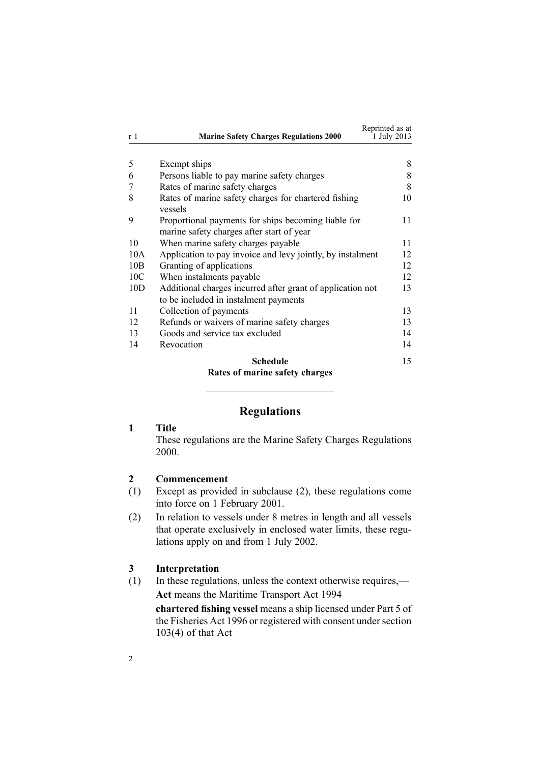<span id="page-1-0"></span>

| r 1             | <b>Marine Safety Charges Regulations 2000</b>                                                       | Reprinted as at<br>1 July 2013 |
|-----------------|-----------------------------------------------------------------------------------------------------|--------------------------------|
|                 |                                                                                                     |                                |
| 5               | Exempt ships                                                                                        | 8                              |
| 6               | Persons liable to pay marine safety charges                                                         | 8                              |
| 7               | Rates of marine safety charges                                                                      | 8                              |
| 8               | Rates of marine safety charges for chartered fishing<br>vessels                                     | 10                             |
| 9               | Proportional payments for ships becoming liable for<br>marine safety charges after start of year    | 11                             |
| 10              | When marine safety charges payable                                                                  | 11                             |
| 10A             | Application to pay invoice and levy jointly, by instalment                                          | 12                             |
| 10B             | Granting of applications                                                                            | 12                             |
| 10 <sub>C</sub> | When instalments payable                                                                            | 12                             |
| 10D             | Additional charges incurred after grant of application not<br>to be included in instalment payments | 13                             |
| 11              | Collection of payments                                                                              | 13                             |
| 12              | Refunds or waivers of marine safety charges                                                         | 13                             |
| 13              | Goods and service tax excluded                                                                      | 14                             |
| 14              | Revocation                                                                                          | 14                             |
|                 | Schedule                                                                                            | 15                             |

## **Rates of marine safety [charges](#page-14-0)**

## **Regulations**

## **1 Title**

These regulations are the Marine Safety Charges Regulations 2000.

## **2 Commencement**

- (1) Except as provided in subclause (2), these regulations come into force on 1 February 2001.
- (2) In relation to vessels under 8 metres in length and all vessels that operate exclusively in enclosed water limits, these regulations apply on and from 1 July 2002.

## **3 Interpretation**

(1) In these regulations, unless the context otherwise requires,— **Act** means the Maritime [Transport](http://www.legislation.govt.nz/pdflink.aspx?id=DLM334659) Act 1994

**chartered fishing vessel** means <sup>a</sup> ship licensed under [Part](http://www.legislation.govt.nz/pdflink.aspx?id=DLM396589) 5 of the Fisheries Act 1996 or registered with consent under section  $103(4)$  of that Act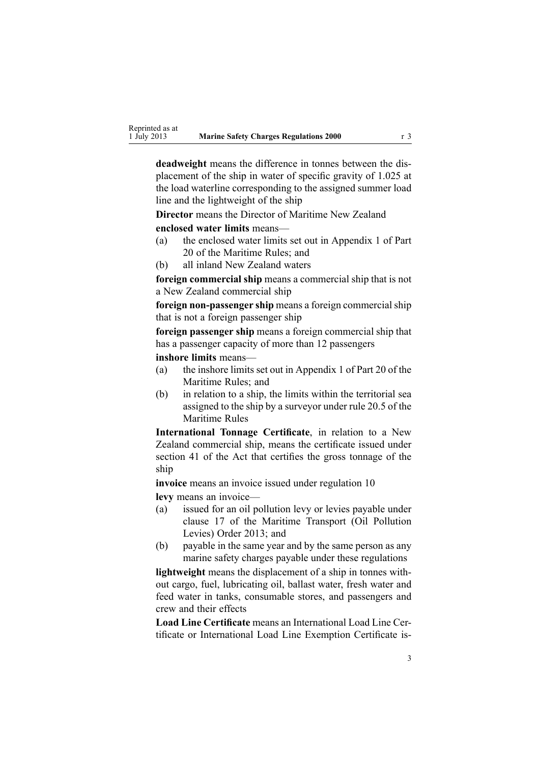**deadweight** means the difference in tonnes between the displacement of the ship in water of specific gravity of 1.025 at the load waterline corresponding to the assigned summer load line and the lightweight of the ship

**Director** means the Director of Maritime New Zealand

**enclosed water limits** means—

- (a) the enclosed water limits set out in Appendix 1 of Part 20 of the Maritime Rules; and
- (b) all inland New Zealand waters

**foreign commercial ship** means <sup>a</sup> commercial ship that is not <sup>a</sup> New Zealand commercial ship

**foreign non-passenger ship** means a foreign commercial ship that is not <sup>a</sup> foreign passenger ship

**foreign passenger ship** means <sup>a</sup> foreign commercial ship that has <sup>a</sup> passenger capacity of more than 12 passengers

**inshore limits** means—

- (a) the inshore limits set out in Appendix 1 of Part 20 of the Maritime Rules; and
- (b) in relation to <sup>a</sup> ship, the limits within the territorial sea assigned to the ship by <sup>a</sup> surveyor under rule 20.5 of the Maritime Rules

**International Tonnage Certificate**, in relation to <sup>a</sup> New Zealand commercial ship, means the certificate issued under [section](http://www.legislation.govt.nz/pdflink.aspx?id=DLM335706) 41 of the Act that certifies the gross tonnage of the ship

**invoice** means an invoice issued under regu[lation](#page-10-0) 10 **levy** means an invoice—

- (a) issued for an oil pollution levy or levies payable under [clause](http://www.legislation.govt.nz/pdflink.aspx?id=DLM5202763) 17 of the Maritime Transport (Oil Pollution Levies) Order 2013; and
- (b) payable in the same year and by the same person as any marine safety charges payable under these regulations

**lightweight** means the displacement of <sup>a</sup> ship in tonnes without cargo, fuel, lubricating oil, ballast water, fresh water and feed water in tanks, consumable stores, and passengers and crew and their effects

**Load Line Certificate** means an International Load Line Certificate or International Load Line Exemption Certificate is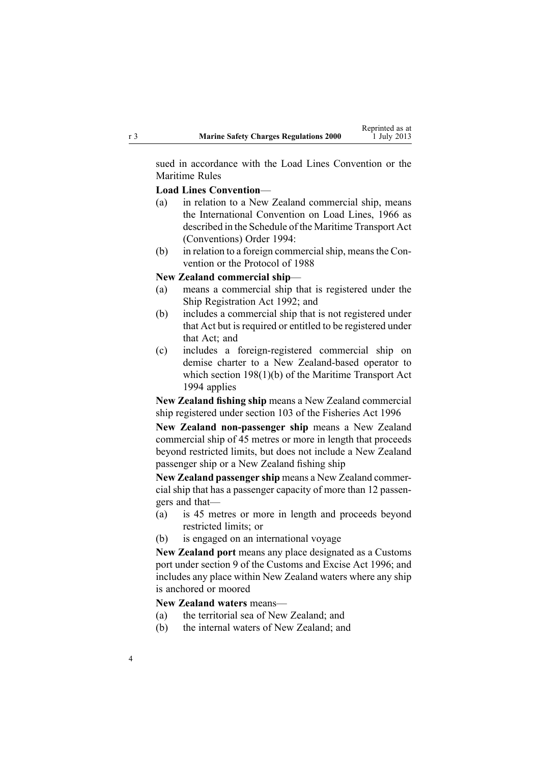sued in accordance with the Load Lines Convention or the Maritime Rules

#### **Load Lines Convention**—

- (a) in relation to <sup>a</sup> New Zealand commercial ship, means the International Convention on Load Lines, 1966 as described in the [Schedule](http://www.legislation.govt.nz/pdflink.aspx?id=DLM197274) of the Maritime Transport Act (Conventions) Order 1994:
- (b) in relation to <sup>a</sup> foreign commercialship, meansthe Convention or the Protocol of 1988

#### **New Zealand commercial ship**—

- (a) means <sup>a</sup> commercial ship that is registered under the Ship [Registration](http://www.legislation.govt.nz/pdflink.aspx?id=DLM275026) Act 1992; and
- (b) includes <sup>a</sup> commercial ship that is not registered under that Act but is required or entitled to be registered under that Act; and
- (c) includes <sup>a</sup> foreign-registered commercial ship on demise charter to <sup>a</sup> New Zealand-based operator to which section [198\(1\)\(b\)](http://www.legislation.govt.nz/pdflink.aspx?id=DLM336787) of the Maritime Transport Act 1994 applies

**New Zealand fishing ship** means <sup>a</sup> New Zealand commercial ship registered under [section](http://www.legislation.govt.nz/pdflink.aspx?id=DLM396970) 103 of the Fisheries Act 1996

**New Zealand non-passenger ship** means <sup>a</sup> New Zealand commercial ship of 45 metres or more in length that proceeds beyond restricted limits, but does not include <sup>a</sup> New Zealand passenger ship or <sup>a</sup> New Zealand fishing ship

**New Zealand passenger ship** means <sup>a</sup> New Zealand commercial ship that has <sup>a</sup> passenger capacity of more than 12 passengers and that—

- (a) is 45 metres or more in length and proceeds beyond restricted limits; or
- (b) is engaged on an international voyage

**New Zealand por<sup>t</sup>** means any place designated as <sup>a</sup> Customs por<sup>t</sup> under [section](http://www.legislation.govt.nz/pdflink.aspx?id=DLM378158) 9 of the Customs and Excise Act 1996; and includes any place within New Zealand waters where any ship is anchored or moored

## **New Zealand waters** means—

- (a) the territorial sea of New Zealand; and
- (b) the internal waters of New Zealand; and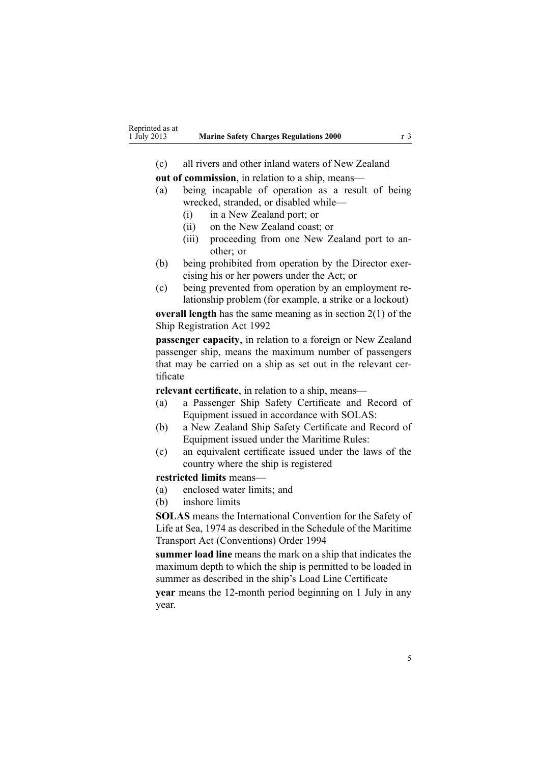(c) all rivers and other inland waters of New Zealand

**out of commission**, in relation to <sup>a</sup> ship, means—

- (a) being incapable of operation as <sup>a</sup> result of being wrecked, stranded, or disabled while—
	- (i) in <sup>a</sup> New Zealand port; or
	- (ii) on the New Zealand coast; or
	- (iii) proceeding from one New Zealand por<sup>t</sup> to another; or
- (b) being prohibited from operation by the Director exercising his or her powers under the Act; or
- (c) being prevented from operation by an employment relationship problem (for example, <sup>a</sup> strike or <sup>a</sup> lockout)

**overall length** has the same meaning as in [section](http://www.legislation.govt.nz/pdflink.aspx?id=DLM275032) 2(1) of the Ship Registration Act 1992

**passenger capacity**, in relation to <sup>a</sup> foreign or New Zealand passenger ship, means the maximum number of passengers that may be carried on <sup>a</sup> ship as set out in the relevant certificate

**relevant certificate**, in relation to <sup>a</sup> ship, means—

- (a) <sup>a</sup> Passenger Ship Safety Certificate and Record of Equipment issued in accordance with SOLAS:
- (b) <sup>a</sup> New Zealand Ship Safety Certificate and Record of Equipment issued under the Maritime Rules:
- (c) an equivalent certificate issued under the laws of the country where the ship is registered

#### **restricted limits** means—

- (a) enclosed water limits; and
- (b) inshore limits

**SOLAS** means the International Convention for the Safety of Life at Sea, 1974 as described in the [Schedule](http://www.legislation.govt.nz/pdflink.aspx?id=DLM197274) of the Maritime Transport Act (Conventions) Order 1994

**summer load line** means the mark on <sup>a</sup> ship that indicates the maximum depth to which the ship is permitted to be loaded in summer as described in the ship's Load Line Certificate

**year** means the 12-month period beginning on 1 July in any year.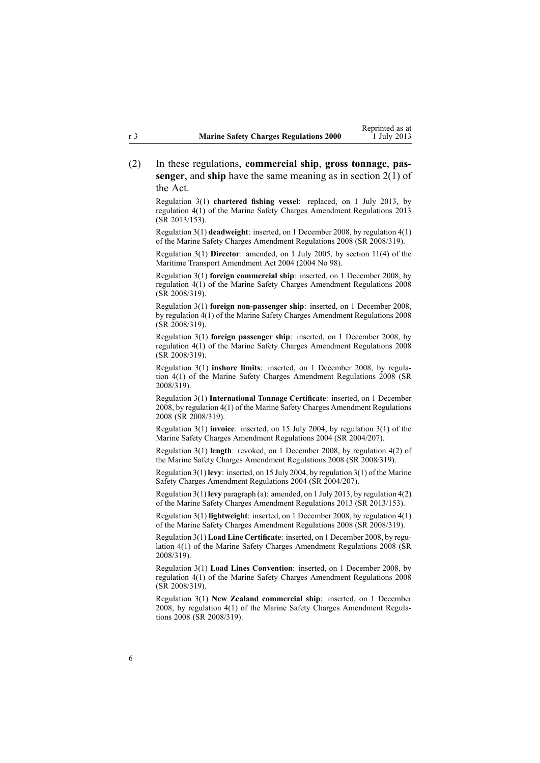(2) In these regulations, **commercial ship**, **gross tonnage**, **passenger**, and **ship** have the same meaning as in [section](http://www.legislation.govt.nz/pdflink.aspx?id=DLM334667) 2(1) of the Act.

Regulation 3(1) **chartered fishing vessel**: replaced, on 1 July 2013, by regu[lation](http://www.legislation.govt.nz/pdflink.aspx?id=DLM5202322) 4(1) of the Marine Safety Charges Amendment Regulations 2013 (SR 2013/153).

Regulation 3(1) **deadweight**: inserted, on 1 December 2008, by regu[lation](http://www.legislation.govt.nz/pdflink.aspx?id=DLM1625607) 4(1) of the Marine Safety Charges Amendment Regulations 2008 (SR 2008/319).

Regulation 3(1) **Director**: amended, on 1 July 2005, by [section](http://www.legislation.govt.nz/pdflink.aspx?id=DLM322600) 11(4) of the Maritime Transport Amendment Act 2004 (2004 No 98).

Regulation 3(1) **foreign commercial ship**: inserted, on 1 December 2008, by regu[lation](http://www.legislation.govt.nz/pdflink.aspx?id=DLM1625607) 4(1) of the Marine Safety Charges Amendment Regulations 2008 (SR 2008/319).

Regulation 3(1) **foreign non-passenger ship**: inserted, on 1 December 2008, by regu[lation](http://www.legislation.govt.nz/pdflink.aspx?id=DLM1625607) 4(1) of the Marine Safety Charges Amendment Regulations 2008 (SR 2008/319).

Regulation 3(1) **foreign passenger ship**: inserted, on 1 December 2008, by regu[lation](http://www.legislation.govt.nz/pdflink.aspx?id=DLM1625607) 4(1) of the Marine Safety Charges Amendment Regulations 2008 (SR 2008/319).

Regulation 3(1) **inshore limits**: inserted, on 1 December 2008, by [regu](http://www.legislation.govt.nz/pdflink.aspx?id=DLM1625607)lation [4\(1\)](http://www.legislation.govt.nz/pdflink.aspx?id=DLM1625607) of the Marine Safety Charges Amendment Regulations 2008 (SR 2008/319).

Regulation 3(1) **International Tonnage Certificate**: inserted, on 1 December 2008, by regu[lation](http://www.legislation.govt.nz/pdflink.aspx?id=DLM1625607) 4(1) of the Marine Safety Charges Amendment Regulations 2008 (SR 2008/319).

Regulation 3(1) **invoice**: inserted, on 15 July 2004, by regu[lation](http://www.legislation.govt.nz/pdflink.aspx?id=DLM272530) 3(1) of the Marine Safety Charges Amendment Regulations 2004 (SR 2004/207).

Regulation 3(1) **length**: revoked, on 1 December 2008, by regu[lation](http://www.legislation.govt.nz/pdflink.aspx?id=DLM1625607) 4(2) of the Marine Safety Charges Amendment Regulations 2008 (SR 2008/319).

Regulation 3(1) **levy**: inserted, on 15 July 2004, by regu[lation](http://www.legislation.govt.nz/pdflink.aspx?id=DLM272530) 3(1) of the Marine Safety Charges Amendment Regulations 2004 (SR 2004/207).

Regulation 3(1) **levy** paragraph (a): amended, on 1 July 2013, by regu[lation](http://www.legislation.govt.nz/pdflink.aspx?id=DLM5202322) 4(2) of the Marine Safety Charges Amendment Regulations 2013 (SR 2013/153).

Regulation 3(1) **lightweight**: inserted, on 1 December 2008, by regu[lation](http://www.legislation.govt.nz/pdflink.aspx?id=DLM1625607) 4(1) of the Marine Safety Charges Amendment Regulations 2008 (SR 2008/319).

Regulation 3(1) **Load Line Certificate**: inserted, on 1 December 2008, by [regu](http://www.legislation.govt.nz/pdflink.aspx?id=DLM1625607)[lation](http://www.legislation.govt.nz/pdflink.aspx?id=DLM1625607) 4(1) of the Marine Safety Charges Amendment Regulations 2008 (SR 2008/319).

Regulation 3(1) **Load Lines Convention**: inserted, on 1 December 2008, by regu[lation](http://www.legislation.govt.nz/pdflink.aspx?id=DLM1625607) 4(1) of the Marine Safety Charges Amendment Regulations 2008 (SR 2008/319).

Regulation 3(1) **New Zealand commercial ship**: inserted, on 1 December 2008, by regu[lation](http://www.legislation.govt.nz/pdflink.aspx?id=DLM1625607) 4(1) of the Marine Safety Charges Amendment Regulations 2008 (SR 2008/319).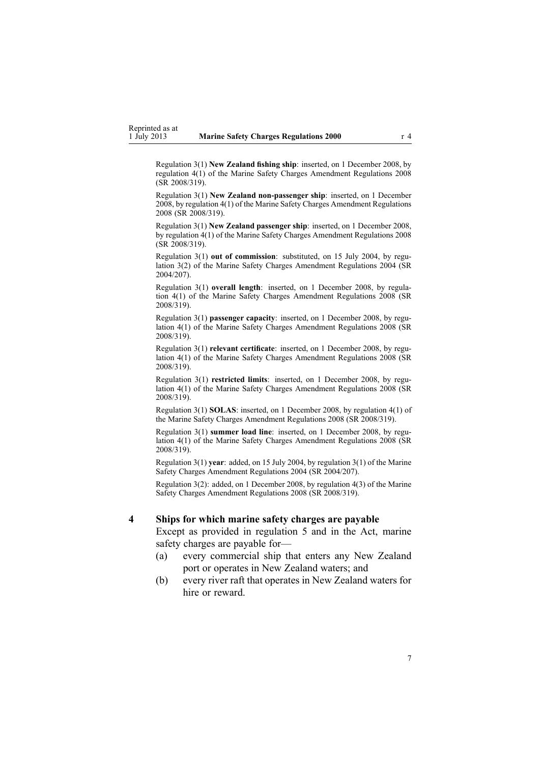<span id="page-6-0"></span>Regulation 3(1) **New Zealand fishing ship**: inserted, on 1 December 2008, by regu[lation](http://www.legislation.govt.nz/pdflink.aspx?id=DLM1625607) 4(1) of the Marine Safety Charges Amendment Regulations 2008 (SR 2008/319).

Regulation 3(1) **New Zealand non-passenger ship**: inserted, on 1 December 2008, by regu[lation](http://www.legislation.govt.nz/pdflink.aspx?id=DLM1625607) 4(1) of the Marine Safety Charges Amendment Regulations 2008 (SR 2008/319).

Regulation 3(1) **New Zealand passenger ship**: inserted, on 1 December 2008, by regu[lation](http://www.legislation.govt.nz/pdflink.aspx?id=DLM1625607) 4(1) of the Marine Safety Charges Amendment Regulations 2008 (SR 2008/319).

Regulation 3(1) **out of commission**: substituted, on 15 July 2004, by [regu](http://www.legislation.govt.nz/pdflink.aspx?id=DLM272530)[lation](http://www.legislation.govt.nz/pdflink.aspx?id=DLM272530) 3(2) of the Marine Safety Charges Amendment Regulations 2004 (SR 2004/207).

Regulation 3(1) **overall length**: inserted, on 1 December 2008, by [regu](http://www.legislation.govt.nz/pdflink.aspx?id=DLM1625607)lation [4\(1\)](http://www.legislation.govt.nz/pdflink.aspx?id=DLM1625607) of the Marine Safety Charges Amendment Regulations 2008 (SR 2008/319).

Regulation 3(1) **passenger capacity**: inserted, on 1 December 2008, by [regu](http://www.legislation.govt.nz/pdflink.aspx?id=DLM1625607)[lation](http://www.legislation.govt.nz/pdflink.aspx?id=DLM1625607) 4(1) of the Marine Safety Charges Amendment Regulations 2008 (SR 2008/319).

Regulation 3(1) **relevant certificate**: inserted, on 1 December 2008, by [regu](http://www.legislation.govt.nz/pdflink.aspx?id=DLM1625607)[lation](http://www.legislation.govt.nz/pdflink.aspx?id=DLM1625607) 4(1) of the Marine Safety Charges Amendment Regulations 2008 (SR 2008/319).

Regulation 3(1) **restricted limits**: inserted, on 1 December 2008, by [regu](http://www.legislation.govt.nz/pdflink.aspx?id=DLM1625607)[lation](http://www.legislation.govt.nz/pdflink.aspx?id=DLM1625607) 4(1) of the Marine Safety Charges Amendment Regulations 2008 (SR 2008/319).

Regulation 3(1) **SOLAS**: inserted, on 1 December 2008, by regu[lation](http://www.legislation.govt.nz/pdflink.aspx?id=DLM1625607) 4(1) of the Marine Safety Charges Amendment Regulations 2008 (SR 2008/319).

Regulation 3(1) **summer load line**: inserted, on 1 December 2008, by [regu](http://www.legislation.govt.nz/pdflink.aspx?id=DLM1625607)[lation](http://www.legislation.govt.nz/pdflink.aspx?id=DLM1625607) 4(1) of the Marine Safety Charges Amendment Regulations 2008 (SR 2008/319).

Regulation 3(1) **year**: added, on 15 July 2004, by regu[lation](http://www.legislation.govt.nz/pdflink.aspx?id=DLM272530) 3(1) of the Marine Safety Charges Amendment Regulations 2004 (SR 2004/207).

Regulation 3(2): added, on 1 December 2008, by regu[lation](http://www.legislation.govt.nz/pdflink.aspx?id=DLM1625607) 4(3) of the Marine Safety Charges Amendment Regulations 2008 (SR 2008/319).

#### **4 Ships for which marine safety charges are payable**

Except as provided in regu[lation](#page-7-0) 5 and in the Act, marine safety charges are payable for—

- (a) every commercial ship that enters any New Zealand por<sup>t</sup> or operates in New Zealand waters; and
- (b) every river raft that operates in New Zealand waters for hire or reward.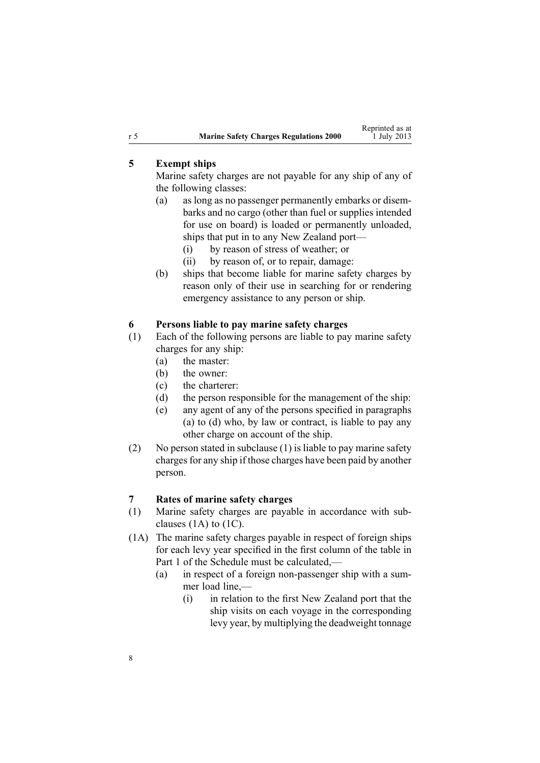## <span id="page-7-0"></span>**5 Exempt ships**

Marine safety charges are not payable for any ship of any of the following classes:

- (a) as long as no passenger permanently embarks or disembarks and no cargo (other than fuel or supplies intended for use on board) is loaded or permanently unloaded, ships that pu<sup>t</sup> in to any New Zealand port—
	- (i) by reason of stress of weather; or
	- (ii) by reason of, or to repair, damage:
- (b) ships that become liable for marine safety charges by reason only of their use in searching for or rendering emergency assistance to any person or ship.

## **6 Persons liable to pay marine safety charges**

- (1) Each of the following persons are liable to pay marine safety charges for any ship:
	- (a) the master:
	- (b) the owner:
	- (c) the charterer:
	- (d) the person responsible for the managemen<sup>t</sup> of the ship:
	- (e) any agen<sup>t</sup> of any of the persons specified in paragraphs (a) to (d) who, by law or contract, is liable to pay any other charge on account of the ship.
- (2) No person stated in subclause (1) is liable to pay marine safety charges for any ship if those charges have been paid by another person.

#### **7 Rates of marine safety charges**

- (1) Marine safety charges are payable in accordance with subclauses  $(1A)$  to  $(1C)$ .
- (1A) The marine safety charges payable in respec<sup>t</sup> of foreign ships for each levy year specified in the first column of the table in [Part](#page-14-0) 1 of the Schedule must be calculated,—
	- (a) in respec<sup>t</sup> of <sup>a</sup> foreign non-passenger ship with <sup>a</sup> summer load line,—
		- (i) in relation to the first New Zealand por<sup>t</sup> that the ship visits on each voyage in the corresponding levy year, by multiplying the deadweight tonnage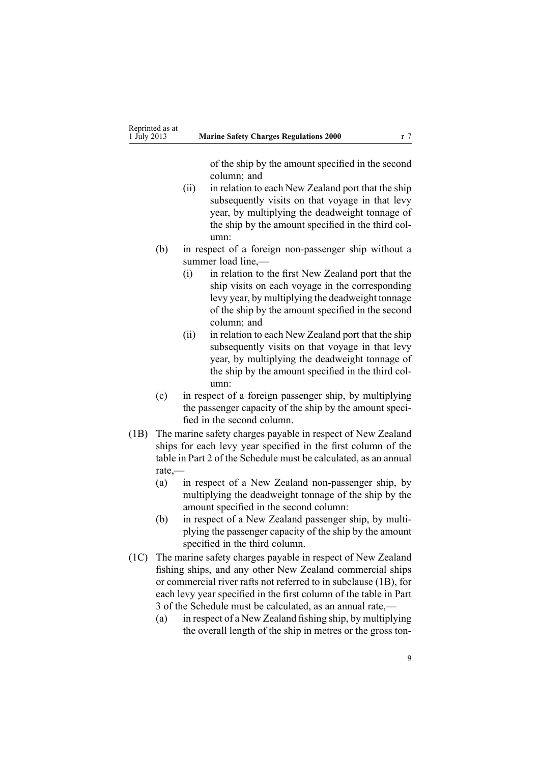of the ship by the amount specified in the second column; and

- (ii) in relation to each New Zealand por<sup>t</sup> that the ship subsequently visits on that voyage in that levy year, by multiplying the deadweight tonnage of the ship by the amount specified in the third column:
- (b) in respec<sup>t</sup> of <sup>a</sup> foreign non-passenger ship without <sup>a</sup> summer load line,—
	- (i) in relation to the first New Zealand por<sup>t</sup> that the ship visits on each voyage in the corresponding levy year, by multiplying the deadweight tonnage of the ship by the amount specified in the second column; and
	- (ii) in relation to each New Zealand por<sup>t</sup> that the ship subsequently visits on that voyage in that levy year, by multiplying the deadweight tonnage of the ship by the amount specified in the third column:
- (c) in respec<sup>t</sup> of <sup>a</sup> foreign passenger ship, by multiplying the passenger capacity of the ship by the amount specified in the second column.
- (1B) The marine safety charges payable in respec<sup>t</sup> of New Zealand ships for each levy year specified in the first column of the table in [Part](#page-15-0) 2 of the Schedule must be calculated, as an annual rate,—
	- (a) in respec<sup>t</sup> of <sup>a</sup> New Zealand non-passenger ship, by multiplying the deadweight tonnage of the ship by the amount specified in the second column:
	- (b) in respec<sup>t</sup> of <sup>a</sup> New Zealand passenger ship, by multiplying the passenger capacity of the ship by the amount specified in the third column.
- (1C) The marine safety charges payable in respec<sup>t</sup> of New Zealand fishing ships, and any other New Zealand commercial ships or commercial river rafts not referred to in subclause (1B), for each levy year specified in the first column of the table in [Part](#page-15-0) [3](#page-15-0) of the Schedule must be calculated, as an annual rate,—
	- (a) in respec<sup>t</sup> of <sup>a</sup> New Zealand fishing ship, by multiplying the overall length of the ship in metres or the gross ton-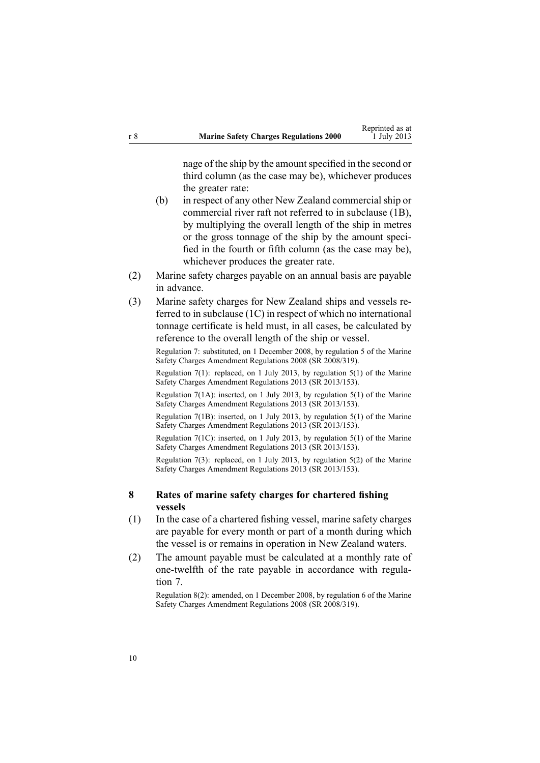<span id="page-9-0"></span>nage of the ship by the amount specified in the second or third column (as the case may be), whichever produces the greater rate:

- (b) in respec<sup>t</sup> of any other New Zealand commercialship or commercial river raft not referred to in subclause (1B), by multiplying the overall length of the ship in metres or the gross tonnage of the ship by the amount specified in the fourth or fifth column (as the case may be), whichever produces the greater rate.
- (2) Marine safety charges payable on an annual basis are payable in advance.
- (3) Marine safety charges for New Zealand ships and vessels referred to in subclause (1C) in respec<sup>t</sup> of which no international tonnage certificate is held must, in all cases, be calculated by reference to the overall length of the ship or vessel.

Regulation 7: substituted, on 1 December 2008, by regu[lation](http://www.legislation.govt.nz/pdflink.aspx?id=DLM1625647) 5 of the Marine Safety Charges Amendment Regulations 2008 (SR 2008/319).

Regu[lation](http://www.legislation.govt.nz/pdflink.aspx?id=DLM5202326)  $7(1)$ : replaced, on 1 July 2013, by regulation  $5(1)$  of the Marine Safety Charges Amendment Regulations 2013 (SR 2013/153).

Regulation 7(1A): inserted, on 1 July 2013, by regu[lation](http://www.legislation.govt.nz/pdflink.aspx?id=DLM5202326) 5(1) of the Marine Safety Charges Amendment Regulations 2013 (SR 2013/153).

Regulation 7(1B): inserted, on 1 July 2013, by regu[lation](http://www.legislation.govt.nz/pdflink.aspx?id=DLM5202326) 5(1) of the Marine Safety Charges Amendment Regulations 2013 (SR 2013/153).

Regulation 7(1C): inserted, on 1 July 2013, by regu[lation](http://www.legislation.govt.nz/pdflink.aspx?id=DLM5202326) 5(1) of the Marine Safety Charges Amendment Regulations 2013 (SR 2013/153).

Regulation 7(3): replaced, on 1 July 2013, by regu[lation](http://www.legislation.govt.nz/pdflink.aspx?id=DLM5202326) 5(2) of the Marine Safety Charges Amendment Regulations 2013 (SR 2013/153).

## **8 Rates of marine safety charges for chartered fishing vessels**

- (1) In the case of <sup>a</sup> chartered fishing vessel, marine safety charges are payable for every month or par<sup>t</sup> of <sup>a</sup> month during which the vessel is or remains in operation in New Zealand waters.
- (2) The amount payable must be calculated at <sup>a</sup> monthly rate of one-twelfth of the rate payable in accordance with [regu](#page-7-0)la[tion](#page-7-0) 7.

Regulation 8(2): amended, on 1 December 2008, by regu[lation](http://www.legislation.govt.nz/pdflink.aspx?id=DLM1625649) 6 of the Marine Safety Charges Amendment Regulations 2008 (SR 2008/319).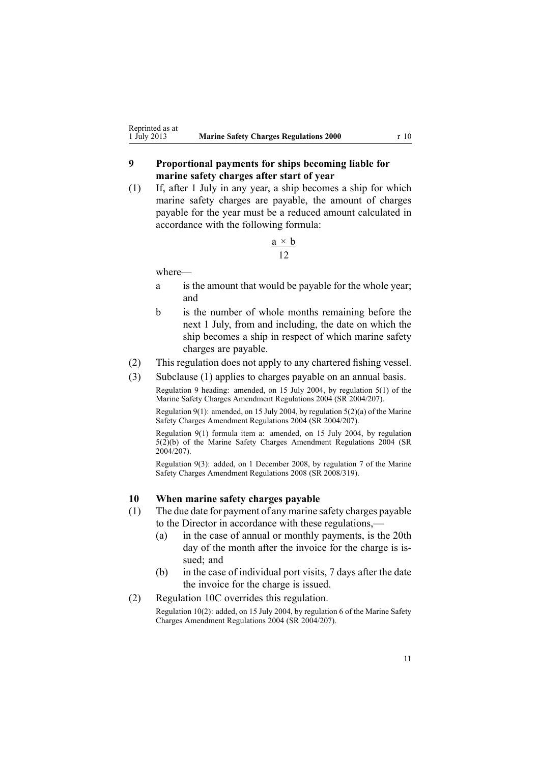## <span id="page-10-0"></span>**9 Proportional payments for ships becoming liable for marine safety charges after start of year**

(1) If, after 1 July in any year, <sup>a</sup> ship becomes <sup>a</sup> ship for which marine safety charges are payable, the amount of charges payable for the year must be <sup>a</sup> reduced amount calculated in accordance with the following formula:

$$
\frac{\mathbf{a} \times \mathbf{b}}{12}
$$

where—

- <sup>a</sup> is the amount that would be payable for the whole year; and
- b is the number of whole months remaining before the next 1 July, from and including, the date on which the ship becomes <sup>a</sup> ship in respec<sup>t</sup> of which marine safety charges are payable.
- (2) This regulation does not apply to any chartered fishing vessel.
- (3) Subclause (1) applies to charges payable on an annual basis.

Regulation 9 heading: amended, on 15 July 2004, by regu[lation](http://www.legislation.govt.nz/pdflink.aspx?id=DLM272540) 5(1) of the Marine Safety Charges Amendment Regulations 2004 (SR 2004/207).

Regulation 9(1): amended, on 15 July 2004, by regulation [5\(2\)\(a\)](http://www.legislation.govt.nz/pdflink.aspx?id=DLM272540) of the Marine Safety Charges Amendment Regulations 2004 (SR 2004/207).

Regulation 9(1) formula item a: amended, on 15 July 2004, by regu[lation](http://www.legislation.govt.nz/pdflink.aspx?id=DLM272540) [5\(2\)\(b\)](http://www.legislation.govt.nz/pdflink.aspx?id=DLM272540) of the Marine Safety Charges Amendment Regulations 2004 (SR 2004/207).

Regulation 9(3): added, on 1 December 2008, by regu[lation](http://www.legislation.govt.nz/pdflink.aspx?id=DLM1625650) 7 of the Marine Safety Charges Amendment Regulations 2008 (SR 2008/319).

#### **10 When marine safety charges payable**

- (1) The due date for paymen<sup>t</sup> of any marine safety charges payable to the Director in accordance with these regulations,—
	- (a) in the case of annual or monthly payments, is the 20th day of the month after the invoice for the charge is issued; and
	- (b) in the case of individual por<sup>t</sup> visits, 7 days after the date the invoice for the charge is issued.
- (2) [Regulation](#page-11-0) 10C overrides this regulation. Regulation 10(2): added, on 15 July 2004, by regu[lation](http://www.legislation.govt.nz/pdflink.aspx?id=DLM272541) 6 of the Marine Safety

Charges Amendment Regulations 2004 (SR 2004/207).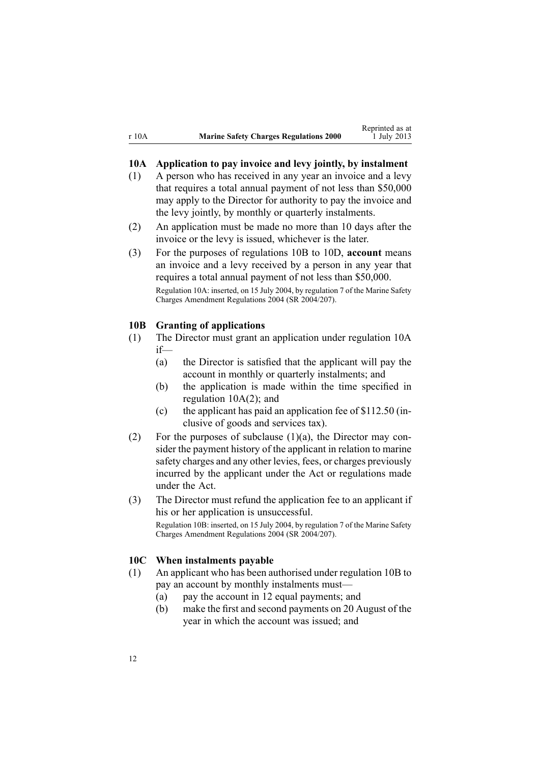<span id="page-11-0"></span>

|       |                                               | Reprinted as at |
|-------|-----------------------------------------------|-----------------|
| r 10A | <b>Marine Safety Charges Regulations 2000</b> | 1 July 2013     |

Reprinted as at

#### **10A Application to pay invoice and levy jointly, by instalment**

- (1) A person who has received in any year an invoice and <sup>a</sup> levy that requires <sup>a</sup> total annual paymen<sup>t</sup> of not less than \$50,000 may apply to the Director for authority to pay the invoice and the levy jointly, by monthly or quarterly instalments.
- (2) An application must be made no more than 10 days after the invoice or the levy is issued, whichever is the later.

(3) For the purposes of regulations 10B to 10D, **account** means an invoice and <sup>a</sup> levy received by <sup>a</sup> person in any year that requires <sup>a</sup> total annual paymen<sup>t</sup> of not less than \$50,000. Regulation 10A: inserted, on 15 July 2004, by regu[lation](http://www.legislation.govt.nz/pdflink.aspx?id=DLM272542) 7 of the Marine Safety Charges Amendment Regulations 2004 (SR 2004/207).

#### **10B Granting of applications**

- (1) The Director must gran<sup>t</sup> an application under regulation 10A if—
	- (a) the Director is satisfied that the applicant will pay the account in monthly or quarterly instalments; and
	- (b) the application is made within the time specified in regulation 10A(2); and
	- (c) the applicant has paid an application fee of \$112.50 (inclusive of goods and services tax).
- (2) For the purposes of subclause  $(1)(a)$ , the Director may consider the paymen<sup>t</sup> history of the applicant in relation to marine safety charges and any other levies, fees, or charges previously incurred by the applicant under the Act or regulations made under the Act.
- (3) The Director must refund the application fee to an applicant if his or her application is unsuccessful.

Regulation 10B: inserted, on 15 July 2004, by regu[lation](http://www.legislation.govt.nz/pdflink.aspx?id=DLM272542) 7 of the Marine Safety Charges Amendment Regulations 2004 (SR 2004/207).

## **10C When instalments payable**

- (1) An applicant who has been authorised under regulation 10B to pay an account by monthly instalments must—
	- (a) pay the account in 12 equal payments; and
	- (b) make the first and second payments on 20 August of the year in which the account was issued; and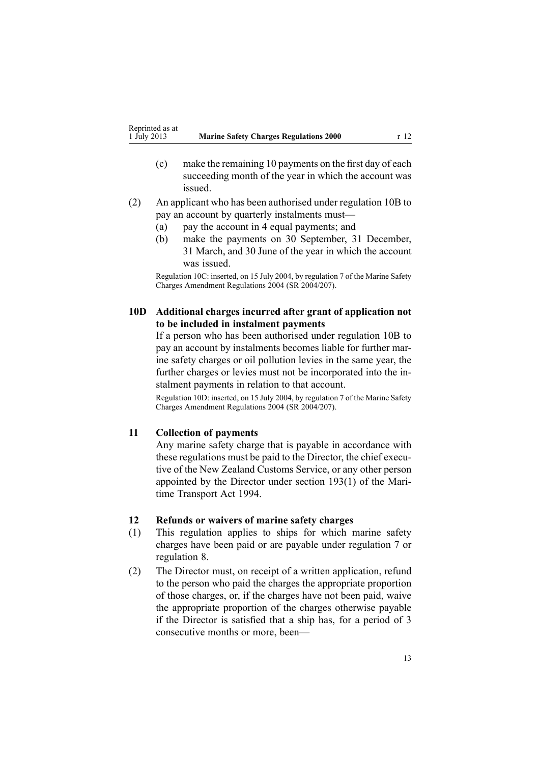<span id="page-12-0"></span>(c) make the remaining 10 payments on the first day of each succeeding month of the year in which the account was issued.

## (2) An applicant who has been authorised under regu[lation](#page-11-0) 10B to pay an account by quarterly instalments must—

- (a) pay the account in 4 equal payments; and
- (b) make the payments on 30 September, 31 December, 31 March, and 30 June of the year in which the account was issued.

Regulation 10C: inserted, on 15 July 2004, by regu[lation](http://www.legislation.govt.nz/pdflink.aspx?id=DLM272542) 7 of the Marine Safety Charges Amendment Regulations 2004 (SR 2004/207).

## **10D Additional charges incurred after grant of application not to be included in instalment payments**

If <sup>a</sup> person who has been authorised under regu[lation](#page-11-0) 10B to pay an account by instalments becomes liable for further marine safety charges or oil pollution levies in the same year, the further charges or levies must not be incorporated into the instalment payments in relation to that account.

Regulation 10D: inserted, on 15 July 2004, by regu[lation](http://www.legislation.govt.nz/pdflink.aspx?id=DLM272542) 7 of the Marine Safety Charges Amendment Regulations 2004 (SR 2004/207).

## **11 Collection of payments**

Any marine safety charge that is payable in accordance with these regulations must be paid to the Director, the chief executive of the New Zealand Customs Service, or any other person appointed by the Director under section [193\(1\)](http://www.legislation.govt.nz/pdflink.aspx?id=DLM336774) of the Maritime Transport Act 1994.

## **12 Refunds or waivers of marine safety charges**

- (1) This regulation applies to ships for which marine safety charges have been paid or are payable under regu[lation](#page-7-0) 7 or regu[lation](#page-9-0) 8.
- (2) The Director must, on receipt of <sup>a</sup> written application, refund to the person who paid the charges the appropriate proportion of those charges, or, if the charges have not been paid, waive the appropriate proportion of the charges otherwise payable if the Director is satisfied that <sup>a</sup> ship has, for <sup>a</sup> period of 3 consecutive months or more, been—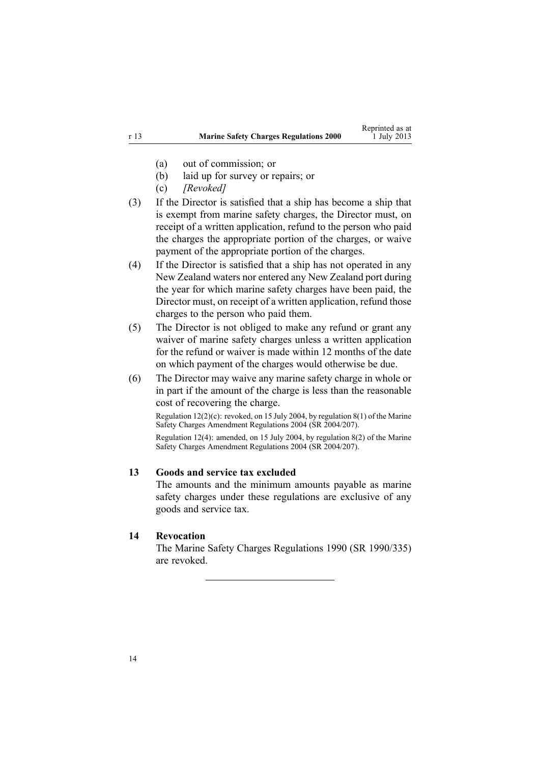- <span id="page-13-0"></span>(a) out of commission; or
- (b) laid up for survey or repairs; or
- (c) *[Revoked]*
- (3) If the Director is satisfied that <sup>a</sup> ship has become <sup>a</sup> ship that is exemp<sup>t</sup> from marine safety charges, the Director must, on receipt of <sup>a</sup> written application, refund to the person who paid the charges the appropriate portion of the charges, or waive paymen<sup>t</sup> of the appropriate portion of the charges.
- (4) If the Director is satisfied that <sup>a</sup> ship has not operated in any New Zealand waters nor entered any New Zealand por<sup>t</sup> during the year for which marine safety charges have been paid, the Director must, on receipt of <sup>a</sup> written application, refund those charges to the person who paid them.
- (5) The Director is not obliged to make any refund or gran<sup>t</sup> any waiver of marine safety charges unless <sup>a</sup> written application for the refund or waiver is made within 12 months of the date on which paymen<sup>t</sup> of the charges would otherwise be due.
- (6) The Director may waive any marine safety charge in whole or in par<sup>t</sup> if the amount of the charge is less than the reasonable cost of recovering the charge.

Regu[lation](http://www.legislation.govt.nz/pdflink.aspx?id=DLM272547)  $12(2)(c)$ : revoked, on 15 July 2004, by regulation 8(1) of the Marine Safety Charges Amendment Regulations 2004 (SR 2004/207).

Regulation 12(4): amended, on 15 July 2004, by regu[lation](http://www.legislation.govt.nz/pdflink.aspx?id=DLM272547) 8(2) of the Marine Safety Charges Amendment Regulations 2004 (SR 2004/207).

## **13 Goods and service tax excluded**

The amounts and the minimum amounts payable as marine safety charges under these regulations are exclusive of any goods and service tax.

## **14 Revocation**

The Marine Safety Charges Regulations 1990 (SR 1990/335) are revoked.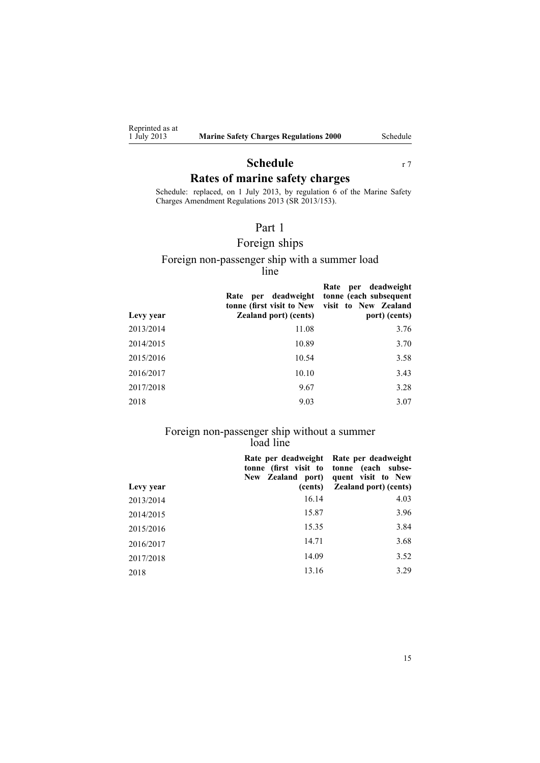<span id="page-14-0"></span>Reprinted as at<br>1 July 2013

# **Schedule** r [7](#page-7-0) **Rates of marine safety charges**

Schedule: replaced, on 1 July 2013, by regu[lation](http://www.legislation.govt.nz/pdflink.aspx?id=DLM5202309) 6 of the Marine Safety Charges Amendment Regulations 2013 (SR 2013/153).

## Part 1

# Foreign ships

#### Foreign non-passenger ship with <sup>a</sup> summer load line

| Levy year | Rate per deadweight<br>tonne (first visit to New<br><b>Zealand port</b> ) (cents) | per deadweight<br>Rate<br>tonne (each subsequent<br>visit to New Zealand<br>port) (cents) |
|-----------|-----------------------------------------------------------------------------------|-------------------------------------------------------------------------------------------|
| 2013/2014 | 11.08                                                                             | 3.76                                                                                      |
| 2014/2015 | 10.89                                                                             | 3.70                                                                                      |
| 2015/2016 | 10.54                                                                             | 3.58                                                                                      |
| 2016/2017 | 10.10                                                                             | 3.43                                                                                      |
| 2017/2018 | 9.67                                                                              | 3.28                                                                                      |
| 2018      | 9.03                                                                              | 3.07                                                                                      |

#### Foreign non-passenger ship without <sup>a</sup> summer load line

|           | Rate per deadweight<br>New Zealand port) | Rate per deadweight<br>tonne (first visit to tonne (each subse-<br>quent visit to New |
|-----------|------------------------------------------|---------------------------------------------------------------------------------------|
| Levy year | (cents)                                  | <b>Zealand port) (cents)</b>                                                          |
| 2013/2014 | 16.14                                    | 4.03                                                                                  |
| 2014/2015 | 15.87                                    | 3.96                                                                                  |
| 2015/2016 | 15.35                                    | 3.84                                                                                  |
| 2016/2017 | 14.71                                    | 3.68                                                                                  |
| 2017/2018 | 14.09                                    | 3.52                                                                                  |
| 2018      | 13.16                                    | 3.29                                                                                  |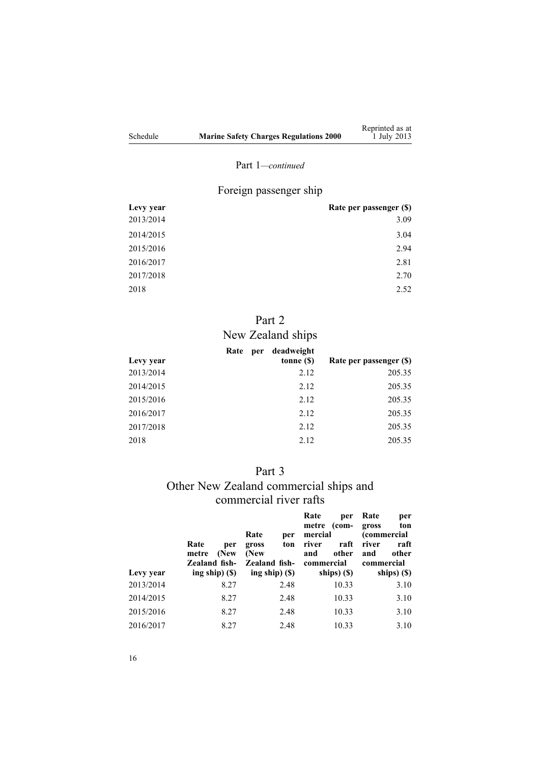<span id="page-15-0"></span>

|          |                                               | Reprinted as at |
|----------|-----------------------------------------------|-----------------|
| Schedule | <b>Marine Safety Charges Regulations 2000</b> | 1 July 2013     |

## Part 1*—continued*

# Foreign passenger ship

| Levy year | Rate per passenger (\$) |
|-----------|-------------------------|
| 2013/2014 | 3.09                    |
| 2014/2015 | 3.04                    |
| 2015/2016 | 2.94                    |
| 2016/2017 | 2.81                    |
| 2017/2018 | 2.70                    |
| 2018      | 2.52                    |

# Part 2

# New Zealand ships

|           | Rate | per | deadweight |                         |
|-----------|------|-----|------------|-------------------------|
| Levy year |      |     | tonne (\$) | Rate per passenger (\$) |
| 2013/2014 |      |     | 2.12       | 205.35                  |
| 2014/2015 |      |     | 2.12       | 205.35                  |
| 2015/2016 |      |     | 2.12       | 205.35                  |
| 2016/2017 |      |     | 2.12       | 205.35                  |
| 2017/2018 |      |     | 2.12       | 205.35                  |
| 2018      |      |     | 2.12       | 205.35                  |

# Part 3

## Other New Zealand commercial ships and commercial river rafts

| Levy year | Rate<br>per<br>(New<br>metre<br>Zealand fish-<br>ing ship $($ \$ $)$ | Rate<br>per<br>ton<br>gross<br>(New<br>Zealand fish-<br>ing ship $($ \$) | Rate<br>per<br>(com-<br>metre<br>mercial<br>raft<br>river<br>other<br>and<br>commercial<br>ships) (\$) | Rate<br>per<br>gross<br>ton<br><i>(commercial</i><br>river<br>raft<br>other<br>and<br>commercial<br>ships) (\$) |
|-----------|----------------------------------------------------------------------|--------------------------------------------------------------------------|--------------------------------------------------------------------------------------------------------|-----------------------------------------------------------------------------------------------------------------|
| 2013/2014 |                                                                      |                                                                          |                                                                                                        |                                                                                                                 |
|           | 8.27                                                                 | 2.48                                                                     | 10.33                                                                                                  | 3.10                                                                                                            |
| 2014/2015 | 8.27                                                                 | 2.48                                                                     | 10.33                                                                                                  | 3.10                                                                                                            |
| 2015/2016 | 8.27                                                                 | 2.48                                                                     | 10.33                                                                                                  | 3.10                                                                                                            |
| 2016/2017 | 8.27                                                                 | 2.48                                                                     | 10.33                                                                                                  | 3.10                                                                                                            |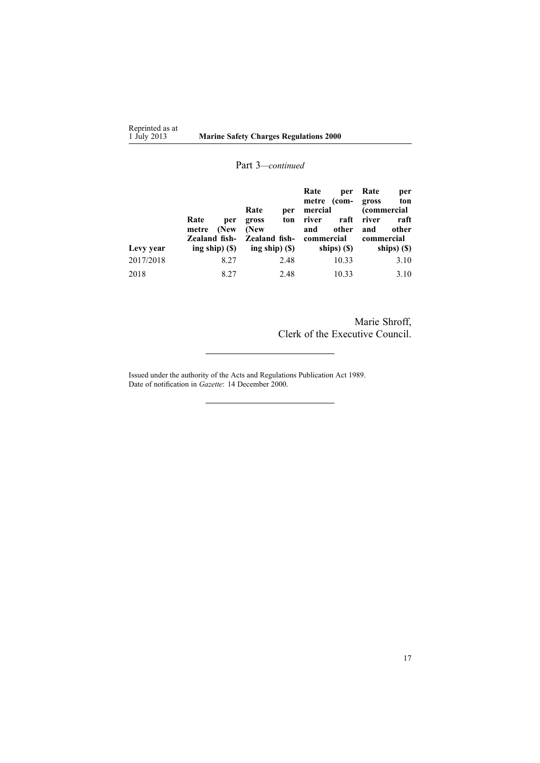## Part 3*—continued*

|           |                                                                             | Rate<br>per                                                      | Rate<br>per<br>$(\text{com}-$<br>metre<br>mercial          | Rate<br>per<br>ton<br>gross<br><i>(commercial</i>          |
|-----------|-----------------------------------------------------------------------------|------------------------------------------------------------------|------------------------------------------------------------|------------------------------------------------------------|
| Levy year | Rate<br>per<br>(New<br>metre<br><b>Zealand fish-</b><br>ing ship $($ \$ $)$ | ton<br>gross<br>(New<br><b>Zealand fish-</b><br>ing ship $($ \$) | raft<br>river<br>other<br>and<br>commercial<br>ships) (\$) | raft<br>river<br>other<br>and<br>commercial<br>ships) (\$) |
| 2017/2018 | 8.27                                                                        | 2.48                                                             | 10.33                                                      | 3.10                                                       |
| 2018      | 8.27                                                                        | 2.48                                                             | 10.33                                                      | 3.10                                                       |

Marie Shroff, Clerk of the Executive Council.

Issued under the authority of the Acts and [Regulations](http://www.legislation.govt.nz/pdflink.aspx?id=DLM195097) Publication Act 1989. Date of notification in *Gazette*: 14 December 2000.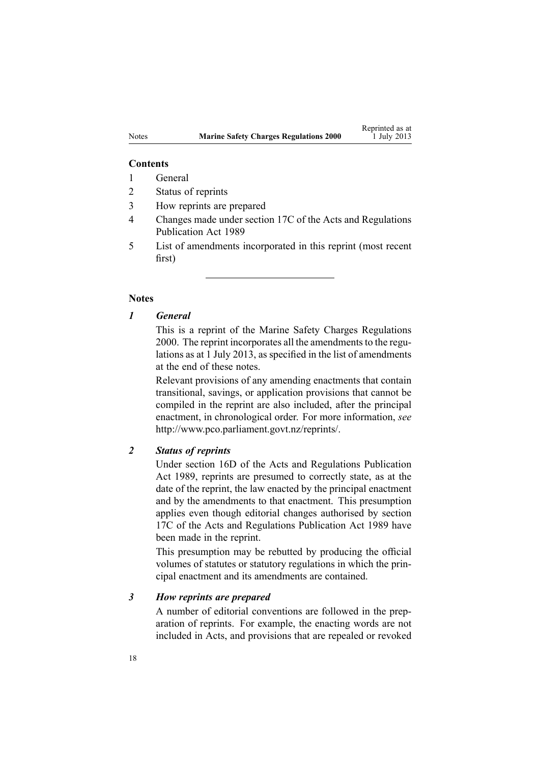#### **Contents**

- 1 General
- 2 Status of reprints
- 3 How reprints are prepared
- 4 Changes made under section 17C of the Acts and Regulations Publication Act 1989
- 5 List of amendments incorporated in this reprint (most recent first)

### **Notes**

## *1 General*

This is <sup>a</sup> reprint of the Marine Safety Charges Regulations 2000. The reprint incorporates all the amendments to the regulations as at 1 July 2013, as specified in the list of amendments at the end of these notes.

Relevant provisions of any amending enactments that contain transitional, savings, or application provisions that cannot be compiled in the reprint are also included, after the principal enactment, in chronological order. For more information, *see* <http://www.pco.parliament.govt.nz/reprints/>.

## *2 Status of reprints*

Under [section](http://www.legislation.govt.nz/pdflink.aspx?id=DLM195439) 16D of the Acts and Regulations Publication Act 1989, reprints are presumed to correctly state, as at the date of the reprint, the law enacted by the principal enactment and by the amendments to that enactment. This presumption applies even though editorial changes authorised by [section](http://www.legislation.govt.nz/pdflink.aspx?id=DLM195466) [17C](http://www.legislation.govt.nz/pdflink.aspx?id=DLM195466) of the Acts and Regulations Publication Act 1989 have been made in the reprint.

This presumption may be rebutted by producing the official volumes of statutes or statutory regulations in which the principal enactment and its amendments are contained.

#### *3 How reprints are prepared*

A number of editorial conventions are followed in the preparation of reprints. For example, the enacting words are not included in Acts, and provisions that are repealed or revoked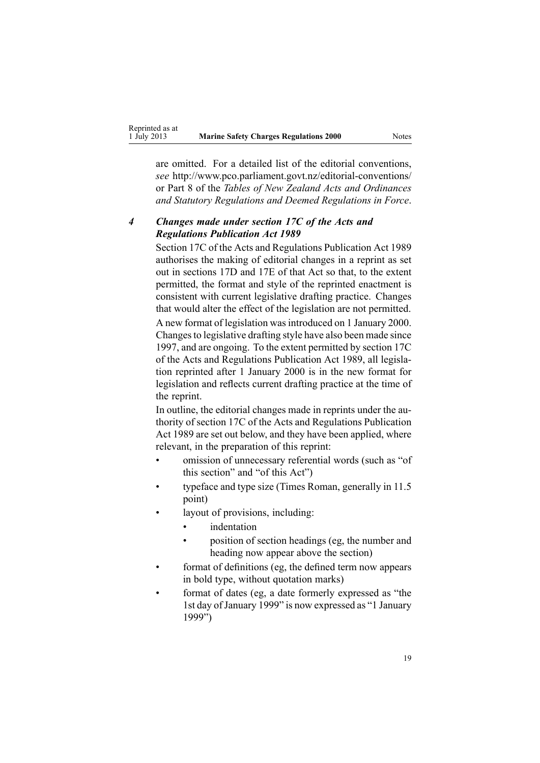are omitted. For <sup>a</sup> detailed list of the editorial conventions, *see* [http://www.pco.parliament.govt.nz/editorial-conventions/](http://www.pco.parliament.govt.nz/editorial-conventions/ ) or Part 8 of the *Tables of New Zealand Acts and Ordinances and Statutory Regulations and Deemed Regulations in Force*.

## *4 Changes made under section 17C of the Acts and Regulations Publication Act 1989*

[Section](http://www.legislation.govt.nz/pdflink.aspx?id=DLM195466) 17C of the Acts and Regulations Publication Act 1989 authorises the making of editorial changes in <sup>a</sup> reprint as set out in [sections](http://www.legislation.govt.nz/pdflink.aspx?id=DLM195468) 17D and [17E](http://www.legislation.govt.nz/pdflink.aspx?id=DLM195470) of that Act so that, to the extent permitted, the format and style of the reprinted enactment is consistent with current legislative drafting practice. Changes that would alter the effect of the legislation are not permitted.

A new format of legislation wasintroduced on 1 January 2000. Changesto legislative drafting style have also been made since 1997, and are ongoing. To the extent permitted by [section](http://www.legislation.govt.nz/pdflink.aspx?id=DLM195466) 17C of the Acts and Regulations Publication Act 1989, all legislation reprinted after 1 January 2000 is in the new format for legislation and reflects current drafting practice at the time of the reprint.

In outline, the editorial changes made in reprints under the authority of [section](http://www.legislation.govt.nz/pdflink.aspx?id=DLM195466) 17C of the Acts and Regulations Publication Act 1989 are set out below, and they have been applied, where relevant, in the preparation of this reprint:

- • omission of unnecessary referential words (such as "of this section" and "of this Act")
- • typeface and type size (Times Roman, generally in 11.5 point)
- • layout of provisions, including:
	- •indentation
	- • position of section headings (eg, the number and heading now appear above the section)
- • format of definitions (eg, the defined term now appears in bold type, without quotation marks)
- • format of dates (eg, <sup>a</sup> date formerly expressed as "the 1st day of January 1999" is now expressed as "1 January 1999")